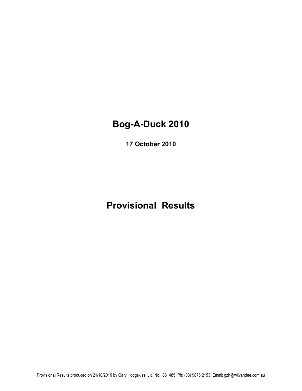# **Bog-A-Duck 2010**

**17 October 2010** 

**Provisional Results**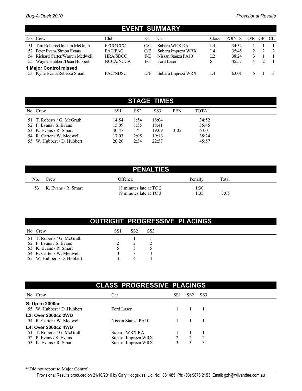\* Did not report to Major Control

|     | No. Crew                         | Club      | ( ìr | Car                | Class          | <b>POINTS</b> | O/R | <b>GR</b> | – CL           |  |  |  |
|-----|----------------------------------|-----------|------|--------------------|----------------|---------------|-----|-----------|----------------|--|--|--|
| 51. | Tim Roberts/Graham McGrath       | FFCC/CCC  | C/C  | Subaru WRX RA      | I A            | 34:52         |     |           |                |  |  |  |
|     | 52 Peter Evans/Simon Evans       | PAC/PAC   | C/E  | Subaru Impreza WRX | IA             | 35:45         |     |           | $\overline{2}$ |  |  |  |
|     | 54 Richard Carter/Warren Medwell | HRA/SDCC  | F/E  | Nissan Stanza PA10 | L <sub>2</sub> | 38:24         |     |           |                |  |  |  |
|     | 55 Wayne Hubbert/Dean Hubbert    | NCCA/NCCA | F/F  | Ford Laser         | S              | 45:57         | 4   |           |                |  |  |  |
|     | 1 Major Control missed           |           |      |                    |                |               |     |           |                |  |  |  |
|     | 53 Kylie Evans/Rebecca Smart     | PAC/NDSC  | D/F  | Subaru Impreza WRX | IA             | 63:01         |     |           |                |  |  |  |
|     |                                  |           |      |                    |                |               |     |           |                |  |  |  |

|                                                                                                                                           |                                           |                                   | <b>STAGE TIMES</b>                        |            |                                           |  |
|-------------------------------------------------------------------------------------------------------------------------------------------|-------------------------------------------|-----------------------------------|-------------------------------------------|------------|-------------------------------------------|--|
| No Crew                                                                                                                                   | SS1                                       | SS <sub>2</sub>                   | SS <sub>3</sub>                           | <b>PEN</b> | <b>TOTAL</b>                              |  |
| 51 T. Roberts / G. McGrath<br>52 P. Evans / S. Evans<br>53 K. Evans / R. Smart<br>54 R. Carter / W. Medwell<br>55 W. Hubbert / D. Hubbert | 14:54<br>15:09<br>40:47<br>17:03<br>20:26 | 1:54<br>1:55<br>∗<br>2:05<br>2:34 | 18:04<br>18:41<br>19:09<br>19:16<br>22:57 | 3:05       | 34:52<br>35:45<br>63:01<br>38:24<br>45:57 |  |

# **PENALTIES**

| No. | Crew                | Offence                 | Penalty  | Total |  |
|-----|---------------------|-------------------------|----------|-------|--|
|     | K. Evans / R. Smart | 18 minutes late at TC 2 | l:30     |       |  |
|     |                     | 19 minutes late at TC 3 | $\pm 35$ | 3:05  |  |

# **OUTRIGHT PROGRESSIVE PLACINGS**

| No Crew                    | SS1 | SS2 | SS <sub>3</sub> |  |
|----------------------------|-----|-----|-----------------|--|
| 51 T. Roberts / G. McGrath |     |     |                 |  |
| 52 P. Evans / S. Evans     |     |     |                 |  |
| 53 K. Evans / R. Smart     |     |     |                 |  |
| 54 R. Carter / W. Medwell  |     |     |                 |  |
| 55 W. Hubbert / D. Hubbert |     |     |                 |  |

# **CLASS PROGRESSIVE PLACINGS**

| No Crew                    | Car                | SS <sub>1</sub> |                |                                                                     |
|----------------------------|--------------------|-----------------|----------------|---------------------------------------------------------------------|
| S: Up to 2000cc            |                    |                 |                |                                                                     |
| 55 W. Hubbert / D. Hubbert | Ford Laser         |                 |                |                                                                     |
| L2: Over 2000cc 2WD        |                    |                 |                |                                                                     |
| 54 R. Carter / W. Medwell  | Nissan Stanza PA10 |                 |                |                                                                     |
| L4: Over 2000cc 4WD        |                    |                 |                |                                                                     |
| 51 T. Roberts / G. McGrath | Subaru WRX RA      |                 |                |                                                                     |
| 52 P. Evans / S. Evans     | Subaru Impreza WRX |                 | $\overline{2}$ | $\overline{2}$                                                      |
| 53 K. Evans / R. Smart     | Subaru Impreza WRX |                 |                |                                                                     |
|                            |                    |                 |                | SS <sub>2</sub> SS <sub>3</sub><br>$\sim$ 1 $\sim$ 1<br>$1 \t1 \t1$ |